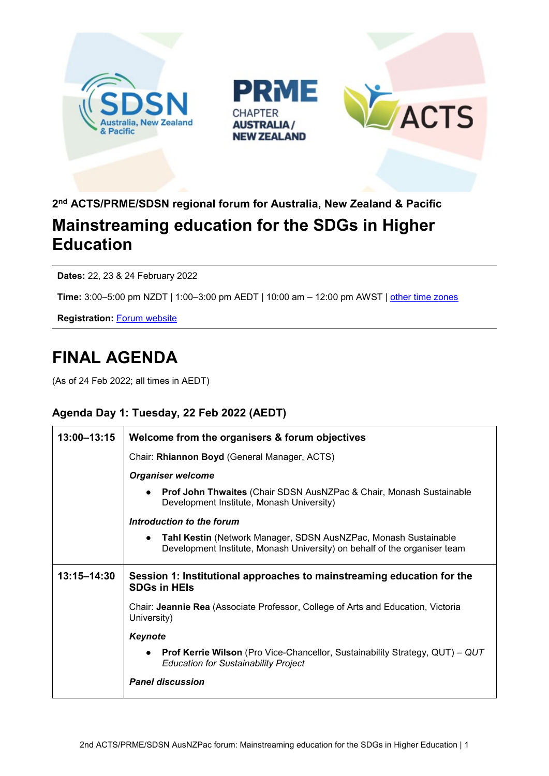





## **2nd ACTS/PRME/SDSN regional forum for Australia, New Zealand & Pacific Mainstreaming education for the SDGs in Higher Education**

**Dates:** 22, 23 & 24 February 2022

**Time:** 3:00–5:00 pm NZDT | 1:00–3:00 pm AEDT | 10:00 am – 12:00 pm AWST | [other time zones](https://www.timeanddate.com/worldclock/fixedtime.html?msg=2nd+SDSN%2FACTS%2FPRME+Regional+workshop%3A+Mainstreaming+education+for+the+SDGs+in+Higher+Education&iso=20220222T13&p1=152&ah=2)

**Registration:** Forum [website](https://events.zoom.us/ev/APyD-qnk1HWa-jNwvt4F0lFWZReEO8A8qlvyrbVTWQf8E2wxBwn2VHsonr6yBYQ6b6RANuI)

# **FINAL AGENDA**

(As of 24 Feb 2022; all times in AEDT)

#### **Agenda Day 1: Tuesday, 22 Feb 2022 (AEDT)**

| 13:00-13:15 | Welcome from the organisers & forum objectives                                                                                               |
|-------------|----------------------------------------------------------------------------------------------------------------------------------------------|
|             | Chair: Rhiannon Boyd (General Manager, ACTS)                                                                                                 |
|             | <b>Organiser welcome</b>                                                                                                                     |
|             | <b>Prof John Thwaites (Chair SDSN AusNZPac &amp; Chair, Monash Sustainable</b><br>$\bullet$<br>Development Institute, Monash University)     |
|             | Introduction to the forum                                                                                                                    |
|             | Tahl Kestin (Network Manager, SDSN AusNZPac, Monash Sustainable<br>Development Institute, Monash University) on behalf of the organiser team |
| 13:15-14:30 | Session 1: Institutional approaches to mainstreaming education for the<br><b>SDGs in HEIS</b>                                                |
|             | Chair: Jeannie Rea (Associate Professor, College of Arts and Education, Victoria<br>University)                                              |
|             | Keynote                                                                                                                                      |
|             | <b>Prof Kerrie Wilson</b> (Pro Vice-Chancellor, Sustainability Strategy, QUT) – QUT<br><b>Education for Sustainability Project</b>           |
|             | <b>Panel discussion</b>                                                                                                                      |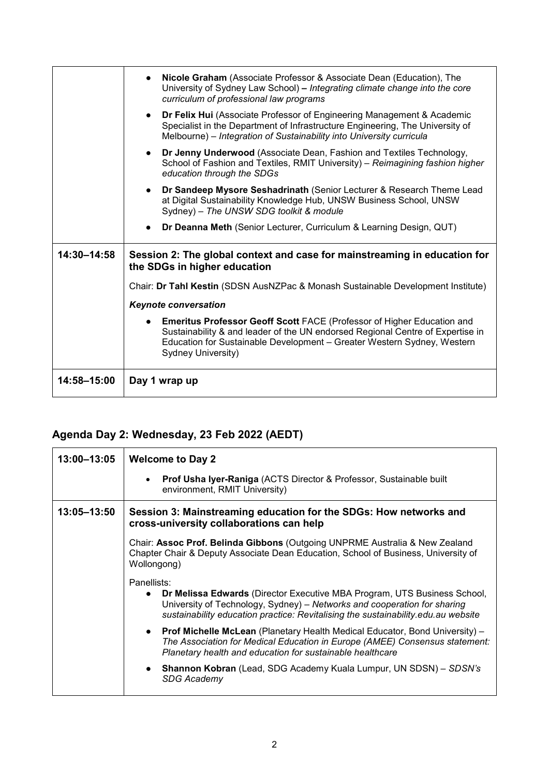|             | Nicole Graham (Associate Professor & Associate Dean (Education), The<br>University of Sydney Law School) - Integrating climate change into the core<br>curriculum of professional law programs                                                                   |
|-------------|------------------------------------------------------------------------------------------------------------------------------------------------------------------------------------------------------------------------------------------------------------------|
|             | <b>Dr Felix Hui</b> (Associate Professor of Engineering Management & Academic<br>Specialist in the Department of Infrastructure Engineering, The University of<br>Melbourne) - Integration of Sustainability into University curricula                           |
|             | Dr Jenny Underwood (Associate Dean, Fashion and Textiles Technology,<br>School of Fashion and Textiles, RMIT University) - Reimagining fashion higher<br>education through the SDGs                                                                              |
|             | <b>Dr Sandeep Mysore Seshadrinath (Senior Lecturer &amp; Research Theme Lead)</b><br>at Digital Sustainability Knowledge Hub, UNSW Business School, UNSW<br>Sydney) - The UNSW SDG toolkit & module                                                              |
|             | Dr Deanna Meth (Senior Lecturer, Curriculum & Learning Design, QUT)                                                                                                                                                                                              |
| 14:30-14:58 | Session 2: The global context and case for mainstreaming in education for<br>the SDGs in higher education                                                                                                                                                        |
|             | Chair: Dr Tahl Kestin (SDSN AusNZPac & Monash Sustainable Development Institute)                                                                                                                                                                                 |
|             | <b>Keynote conversation</b>                                                                                                                                                                                                                                      |
|             | <b>Emeritus Professor Geoff Scott FACE (Professor of Higher Education and</b><br>Sustainability & and leader of the UN endorsed Regional Centre of Expertise in<br>Education for Sustainable Development - Greater Western Sydney, Western<br>Sydney University) |
| 14:58-15:00 | Day 1 wrap up                                                                                                                                                                                                                                                    |

### **Agenda Day 2: Wednesday, 23 Feb 2022 (AEDT)**

| 13:00-13:05 | <b>Welcome to Day 2</b>                                                                                                                                                                                                                                               |
|-------------|-----------------------------------------------------------------------------------------------------------------------------------------------------------------------------------------------------------------------------------------------------------------------|
|             | <b>Prof Usha Iyer-Raniga (ACTS Director &amp; Professor, Sustainable built</b><br>environment, RMIT University)                                                                                                                                                       |
| 13:05-13:50 | Session 3: Mainstreaming education for the SDGs: How networks and<br>cross-university collaborations can help                                                                                                                                                         |
|             | Chair: Assoc Prof. Belinda Gibbons (Outgoing UNPRME Australia & New Zealand<br>Chapter Chair & Deputy Associate Dean Education, School of Business, University of<br>Wollongong)                                                                                      |
|             | Panellists:<br>Dr Melissa Edwards (Director Executive MBA Program, UTS Business School,<br>$\bullet$<br>University of Technology, Sydney) - Networks and cooperation for sharing<br>sustainability education practice: Revitalising the sustainability.edu.au website |
|             | <b>Prof Michelle McLean</b> (Planetary Health Medical Educator, Bond University) $-$<br>The Association for Medical Education in Europe (AMEE) Consensus statement:<br>Planetary health and education for sustainable healthcare                                      |
|             | <b>Shannon Kobran</b> (Lead, SDG Academy Kuala Lumpur, UN SDSN) - SDSN's<br><b>SDG Academy</b>                                                                                                                                                                        |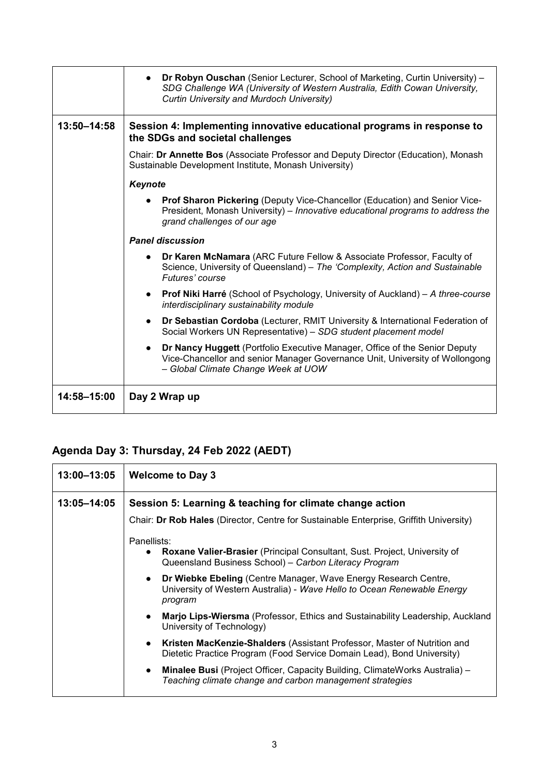|             | <b>Dr Robyn Ouschan</b> (Senior Lecturer, School of Marketing, Curtin University) –<br>SDG Challenge WA (University of Western Australia, Edith Cowan University,<br>Curtin University and Murdoch University) |
|-------------|----------------------------------------------------------------------------------------------------------------------------------------------------------------------------------------------------------------|
| 13:50-14:58 | Session 4: Implementing innovative educational programs in response to<br>the SDGs and societal challenges                                                                                                     |
|             | Chair: Dr Annette Bos (Associate Professor and Deputy Director (Education), Monash<br>Sustainable Development Institute, Monash University)                                                                    |
|             | Keynote                                                                                                                                                                                                        |
|             | Prof Sharon Pickering (Deputy Vice-Chancellor (Education) and Senior Vice-<br>President, Monash University) - Innovative educational programs to address the<br>grand challenges of our age                    |
|             | <b>Panel discussion</b>                                                                                                                                                                                        |
|             | Dr Karen McNamara (ARC Future Fellow & Associate Professor, Faculty of<br>$\bullet$<br>Science, University of Queensland) - The 'Complexity, Action and Sustainable<br>Futures' course                         |
|             | <b>Prof Niki Harré</b> (School of Psychology, University of Auckland) – A three-course<br>$\bullet$<br>interdisciplinary sustainability module                                                                 |
|             | Dr Sebastian Cordoba (Lecturer, RMIT University & International Federation of<br>$\bullet$<br>Social Workers UN Representative) - SDG student placement model                                                  |
|             | Dr Nancy Huggett (Portfolio Executive Manager, Office of the Senior Deputy<br>$\bullet$<br>Vice-Chancellor and senior Manager Governance Unit, University of Wollongong<br>- Global Climate Change Week at UOW |
| 14:58-15:00 | Day 2 Wrap up                                                                                                                                                                                                  |

### **Agenda Day 3: Thursday, 24 Feb 2022 (AEDT)**

| 13:00-13:05 | <b>Welcome to Day 3</b>                                                                                                                                                |
|-------------|------------------------------------------------------------------------------------------------------------------------------------------------------------------------|
| 13:05-14:05 | Session 5: Learning & teaching for climate change action                                                                                                               |
|             | Chair: Dr Rob Hales (Director, Centre for Sustainable Enterprise, Griffith University)                                                                                 |
|             | Panellists:<br><b>Roxane Valier-Brasier</b> (Principal Consultant, Sust. Project, University of<br>Queensland Business School) - Carbon Literacy Program               |
|             | <b>Dr Wiebke Ebeling</b> (Centre Manager, Wave Energy Research Centre,<br>University of Western Australia) - Wave Hello to Ocean Renewable Energy<br>program           |
|             | <b>Marjo Lips-Wiersma</b> (Professor, Ethics and Sustainability Leadership, Auckland<br>University of Technology)                                                      |
|             | <b>Kristen MacKenzie-Shalders</b> (Assistant Professor, Master of Nutrition and<br>$\bullet$<br>Dietetic Practice Program (Food Service Domain Lead), Bond University) |
|             | <b>Minalee Busi</b> (Project Officer, Capacity Building, ClimateWorks Australia) –<br>Teaching climate change and carbon management strategies                         |